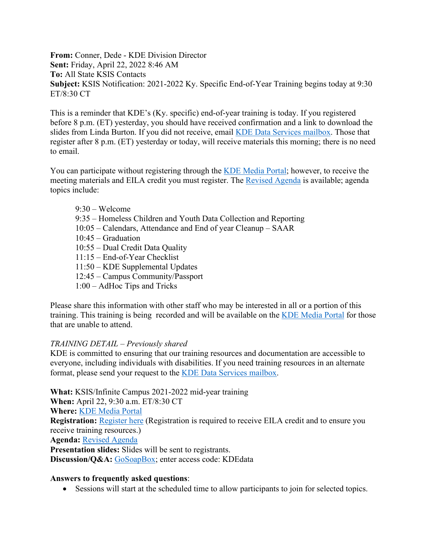**From:** Conner, Dede - KDE Division Director **Sent:** Friday, April 22, 2022 8:46 AM **To:** All State KSIS Contacts **Subject:** KSIS Notification: 2021-2022 Ky. Specific End-of-Year Training begins today at 9:30 ET/8:30 CT

This is a reminder that KDE's (Ky. specific) end-of-year training is today. If you registered before 8 p.m. (ET) yesterday, you should have received confirmation and a link to download the slides from Linda Burton. If you did not receive, email [KDE Data Services mailbox.](mailto:kdedatarequest@education.ky.gov) Those that register after 8 p.m. (ET) yesterday or today, will receive materials this morning; there is no need to email.

You can participate without registering through the [KDE Media Portal;](http://mediaportal.education.ky.gov/watch-live/) however, to receive the meeting materials and EILA credit you must register. The [Revised Agenda](https://education.ky.gov/districts/tech/sis/Documents/2021-22_KSIS_EoY_Training_Agenda.pdf) is available; agenda topics include:

9:30 – Welcome 9:35 – Homeless Children and Youth Data Collection and Reporting 10:05 – Calendars, Attendance and End of year Cleanup – SAAR 10:45 – Graduation 10:55 – Dual Credit Data Quality 11:15 – End-of-Year Checklist 11:50 – KDE Supplemental Updates 12:45 – Campus Community/Passport 1:00 – AdHoc Tips and Tricks

Please share this information with other staff who may be interested in all or a portion of this training. This training is being recorded and will be available on the [KDE Media Portal](http://mediaportal.education.ky.gov/watch-live/) for those that are unable to attend.

## *TRAINING DETAIL – Previously shared*

KDE is committed to ensuring that our training resources and documentation are accessible to everyone, including individuals with disabilities. If you need training resources in an alternate format, please send your request to the [KDE Data Services mailbox.](mailto:kdedatarequest@education.ky.gov)

**What:** KSIS/Infinite Campus 2021-2022 mid-year training

**When:** April 22, 9:30 a.m. ET/8:30 CT

**Where:** [KDE Media Portal](http://mediaportal.education.ky.gov/watch-live/)

**Registration:** [Register here](https://www.surveymonkey.com/r/21-22_EOY_Registration) (Registration is required to receive EILA credit and to ensure you receive training resources.)

**Agenda:** [Revised](https://education.ky.gov/districts/tech/sis/Documents/2021-22_KSIS_EoY_Training_Agenda.pdf) Agenda

**Presentation slides:** Slides will be sent to registrants.

Discussion/Q&A: [GoSoapBox;](https://app.gosoapbox.com/) enter access code: KDEdata

## **Answers to frequently asked questions**:

• Sessions will start at the scheduled time to allow participants to join for selected topics.